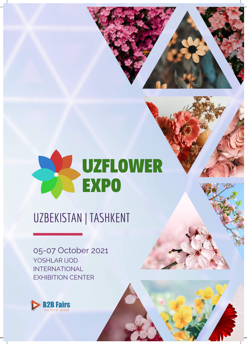



05-07 October 2021 YOSHLAR IJOD INTERNATIONAL EXHIBITION CENTER

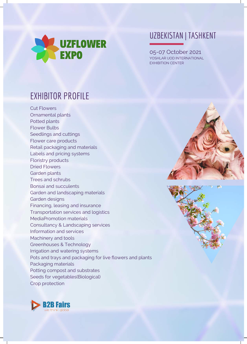

05-07 October 2021 YOSHLAR IJOD INTERNATIONAL EXHIBITION CENTER

## EXHIBITOR PROFILE

Cut Flowers Ornamental plants Potted plants Flower Bulbs Seedlings and cuttings Flower care products Retail packaging and materials Labels and pricing systems Floristry products Dried Flowers Garden plants Trees and schrubs Bonsai and succulents Garden and landscaping materials Garden designs Financing, leasing and insurance Transportation services and logistics MediaPromotion materials Consultancy & Landscaping services Information and services Machinery and tools Greenhouses & Technology Irrigation and watering systems Pots and trays and packaging for live flowers and plants Packaging materials Potting compost and substrates Seeds for vegetables(Biological) Crop protection





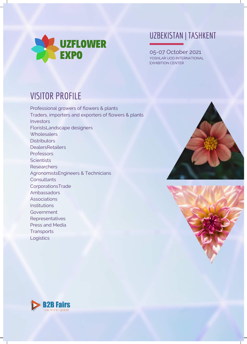

05-07 October 2021 YOSHLAR IJOD INTERNATIONAL EXHIBITION CENTER

## VISITOR PROFILE

Professional growers of flowers & plants Traders, importers and exporters of flowers & plants **Investors** FloristsLandscape designers **Wholesalers Distributors DealersRetailers Professors Scientists Researchers** AgronomistsEngineers & Technicians **Consultants** CorporationsTrade Ambassadors Associations Institutions Government **Representatives** Press and Media **Transports** Logistics





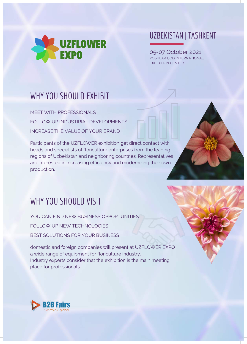

05-07 October 2021 YOSHLAR IJOD INTERNATIONAL EXHIBITION CENTER

## WHY YOU SHOULD EXHIBIT

MEET WITH PROFESSIONALS FOLLOW UP INDUSTIRIAL DEVELOPMENTS INCREASE THE VALUE OF YOUR BRAND

Participants of the UZFLOWER exhibition get direct contact with heads and specialists of floriculture enterprises from the leading regions of Uzbekistan and neighboring countries. Representatives are interested in increasing efficiency and modernizing their own production.

## WHY YOU SHOULD VISIT

YOU CAN FIND NEW BUSINESS OPPORTUNITIES FOLLOW UP NEW TECHNOLOGIES BEST SOLUTIONS FOR YOUR BUSINESS

domestic and foreign companies will present at UZFLOWER EXPO a wide range of equipment for floriculture industry. Industry experts consider that the exhibition is the main meeting place for professionals.

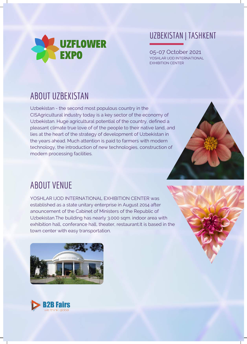

05-07 October 2021 YOSHLAR IJOD INTERNATIONAL EXHIBITION CENTER

# ABOUT UZBEKISTAN

Uzbekistan - the second most populous country in the CISAgricultural industry today is a key sector of the economy of Uzbekistan. Huge agricultural potential of the country, defined a pleasant climate true love of of the people to their native land, and lies at the heart of the strategy of development of Uzbekistan in the years ahead. Much attention is paid to farmers with modern technology, the introduction of new technologies, construction of modern processing facilities.



## ABOUT VENUE

YOSHLAR IJOD INTERNATIONAL EXHIBITION CENTER was established as a state unitary enterprise in August 2014 after anouncement of the Cabinet of Ministers of the Republic of Uzbekistan.The building has nearly 3.000 sqm. indoor area with exhibition hall, conferance hall, theater, restaurant.It is based in the town center with easy transportation.